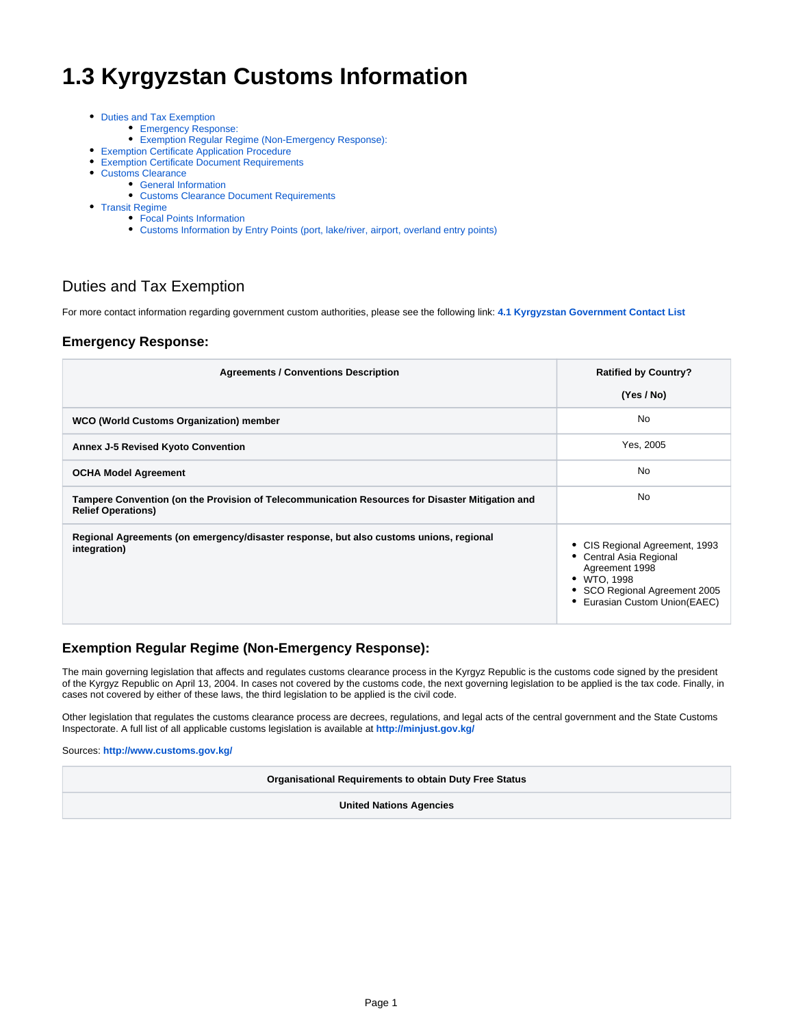# **1.3 Kyrgyzstan Customs Information**

- [Duties and Tax Exemption](#page-0-0)
	- [Emergency Response:](#page-0-1)
	- [Exemption Regular Regime \(Non-Emergency Response\):](#page-0-2)
- [Exemption Certificate Application Procedure](#page-1-0)
- [Exemption Certificate Document Requirements](#page-3-0)
- [Customs Clearance](#page-4-0)
	- [General Information](#page-4-1)
		- [Customs Clearance Document Requirements](#page-4-2)
- [Transit Regime](#page-5-0)
	- [Focal Points Information](#page-5-1)
	- [Customs Information by Entry Points \(port, lake/river, airport, overland entry points\)](#page-6-0)

# <span id="page-0-0"></span>Duties and Tax Exemption

For more contact information regarding government custom authorities, please see the following link: **[4.1 Kyrgyzstan Government Contact List](https://dlca.logcluster.org/display/DLCA/4.1+Kyrgyzstan+Government+Contact+List)**

### <span id="page-0-1"></span>**Emergency Response:**

| <b>Agreements / Conventions Description</b>                                                                                  | <b>Ratified by Country?</b>                                                                                                                          |
|------------------------------------------------------------------------------------------------------------------------------|------------------------------------------------------------------------------------------------------------------------------------------------------|
|                                                                                                                              | (Yes / No)                                                                                                                                           |
| WCO (World Customs Organization) member                                                                                      | <b>No</b>                                                                                                                                            |
| <b>Annex J-5 Revised Kyoto Convention</b>                                                                                    | Yes, 2005                                                                                                                                            |
| <b>OCHA Model Agreement</b>                                                                                                  | <b>No</b>                                                                                                                                            |
| Tampere Convention (on the Provision of Telecommunication Resources for Disaster Mitigation and<br><b>Relief Operations)</b> | <b>No</b>                                                                                                                                            |
| Regional Agreements (on emergency/disaster response, but also customs unions, regional<br>integration)                       | CIS Regional Agreement, 1993<br>Central Asia Regional<br>Agreement 1998<br>• WTO, 1998<br>SCO Regional Agreement 2005<br>Eurasian Custom Union(EAEC) |

### <span id="page-0-2"></span>**Exemption Regular Regime (Non-Emergency Response):**

The main governing legislation that affects and regulates customs clearance process in the Kyrgyz Republic is the customs code signed by the president of the Kyrgyz Republic on April 13, 2004. In cases not covered by the customs code, the next governing legislation to be applied is the tax code. Finally, in cases not covered by either of these laws, the third legislation to be applied is the civil code.

Other legislation that regulates the customs clearance process are decrees, regulations, and legal acts of the central government and the State Customs Inspectorate. A full list of all applicable customs legislation is available at **<http://minjust.gov.kg/>**

Sources: **<http://www.customs.gov.kg/>**

**Organisational Requirements to obtain Duty Free Status**

**United Nations Agencies**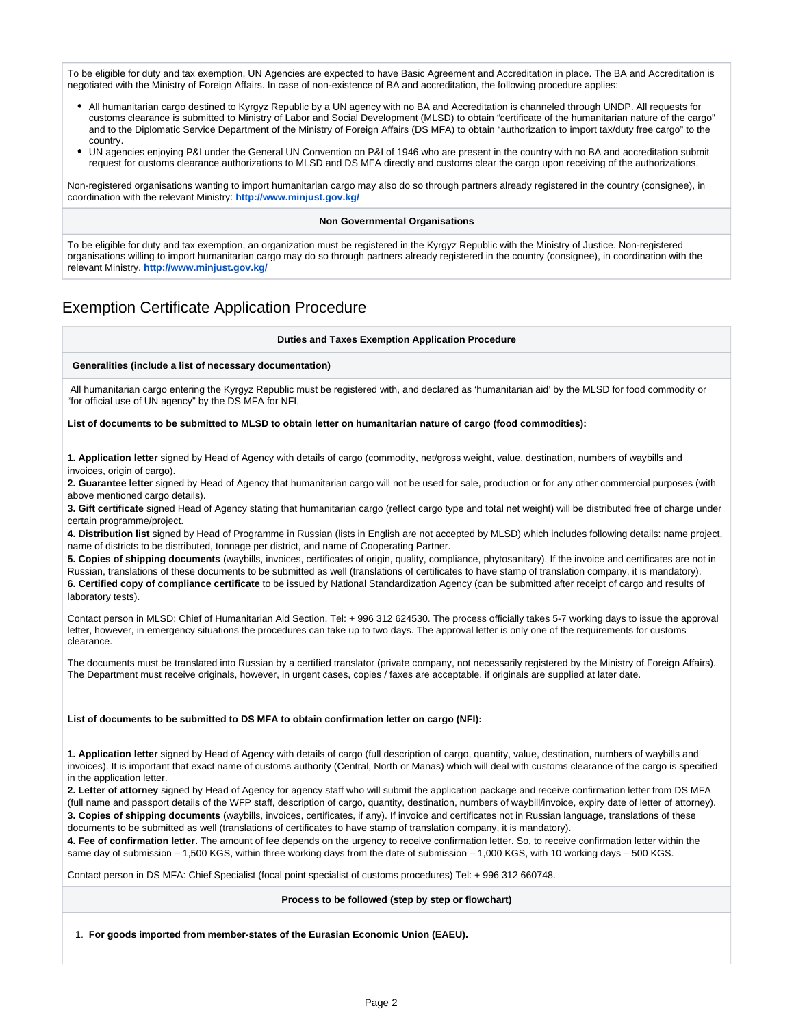To be eligible for duty and tax exemption, UN Agencies are expected to have Basic Agreement and Accreditation in place. The BA and Accreditation is negotiated with the Ministry of Foreign Affairs. In case of non-existence of BA and accreditation, the following procedure applies:

- All humanitarian cargo destined to Kyrgyz Republic by a UN agency with no BA and Accreditation is channeled through UNDP. All requests for customs clearance is submitted to Ministry of Labor and Social Development (MLSD) to obtain "certificate of the humanitarian nature of the cargo" and to the Diplomatic Service Department of the Ministry of Foreign Affairs (DS MFA) to obtain "authorization to import tax/duty free cargo" to the country.
- UN agencies enjoying P&I under the General UN Convention on P&I of 1946 who are present in the country with no BA and accreditation submit request for customs clearance authorizations to MLSD and DS MFA directly and customs clear the cargo upon receiving of the authorizations.

Non-registered organisations wanting to import humanitarian cargo may also do so through partners already registered in the country (consignee), in coordination with the relevant Ministry: **<http://www.minjust.gov.kg/>**

#### **Non Governmental Organisations**

To be eligible for duty and tax exemption, an organization must be registered in the Kyrgyz Republic with the Ministry of Justice. Non-registered organisations willing to import humanitarian cargo may do so through partners already registered in the country (consignee), in coordination with the relevant Ministry. **<http://www.minjust.gov.kg/>**

# <span id="page-1-0"></span>Exemption Certificate Application Procedure

#### **Duties and Taxes Exemption Application Procedure**

#### **Generalities (include a list of necessary documentation)**

All humanitarian cargo entering the Kyrgyz Republic must be registered with, and declared as 'humanitarian aid' by the MLSD for food commodity or "for official use of UN agency" by the DS MFA for NFI.

#### **List of documents to be submitted to MLSD to obtain letter on humanitarian nature of cargo (food commodities):**

**1. Application letter** signed by Head of Agency with details of cargo (commodity, net/gross weight, value, destination, numbers of waybills and invoices, origin of cargo).

**2. Guarantee letter** signed by Head of Agency that humanitarian cargo will not be used for sale, production or for any other commercial purposes (with above mentioned cargo details).

**3. Gift certificate** signed Head of Agency stating that humanitarian cargo (reflect cargo type and total net weight) will be distributed free of charge under certain programme/project.

**4. Distribution list** signed by Head of Programme in Russian (lists in English are not accepted by MLSD) which includes following details: name project, name of districts to be distributed, tonnage per district, and name of Cooperating Partner.

**5. Copies of shipping documents** (waybills, invoices, certificates of origin, quality, compliance, phytosanitary). If the invoice and certificates are not in Russian, translations of these documents to be submitted as well (translations of certificates to have stamp of translation company, it is mandatory). **6. Certified copy of compliance certificate** to be issued by National Standardization Agency (can be submitted after receipt of cargo and results of laboratory tests).

Contact person in MLSD: Chief of Humanitarian Aid Section, Tel: + 996 312 624530. The process officially takes 5-7 working days to issue the approval letter, however, in emergency situations the procedures can take up to two days. The approval letter is only one of the requirements for customs clearance.

The documents must be translated into Russian by a certified translator (private company, not necessarily registered by the Ministry of Foreign Affairs). The Department must receive originals, however, in urgent cases, copies / faxes are acceptable, if originals are supplied at later date.

#### **List of documents to be submitted to DS MFA to obtain confirmation letter on cargo (NFI):**

**1. Application letter** signed by Head of Agency with details of cargo (full description of cargo, quantity, value, destination, numbers of waybills and invoices). It is important that exact name of customs authority (Central, North or Manas) which will deal with customs clearance of the cargo is specified in the application letter.

**2. Letter of attorney** signed by Head of Agency for agency staff who will submit the application package and receive confirmation letter from DS MFA (full name and passport details of the WFP staff, description of cargo, quantity, destination, numbers of waybill/invoice, expiry date of letter of attorney). **3. Copies of shipping documents** (waybills, invoices, certificates, if any). If invoice and certificates not in Russian language, translations of these documents to be submitted as well (translations of certificates to have stamp of translation company, it is mandatory).

**4. Fee of confirmation letter.** The amount of fee depends on the urgency to receive confirmation letter. So, to receive confirmation letter within the same day of submission – 1,500 KGS, within three working days from the date of submission – 1,000 KGS, with 10 working days – 500 KGS.

Contact person in DS MFA: Chief Specialist (focal point specialist of customs procedures) Tel: + 996 312 660748.

#### **Process to be followed (step by step or flowchart)**

1. **For goods imported from member-states of the Eurasian Economic Union (EAEU).**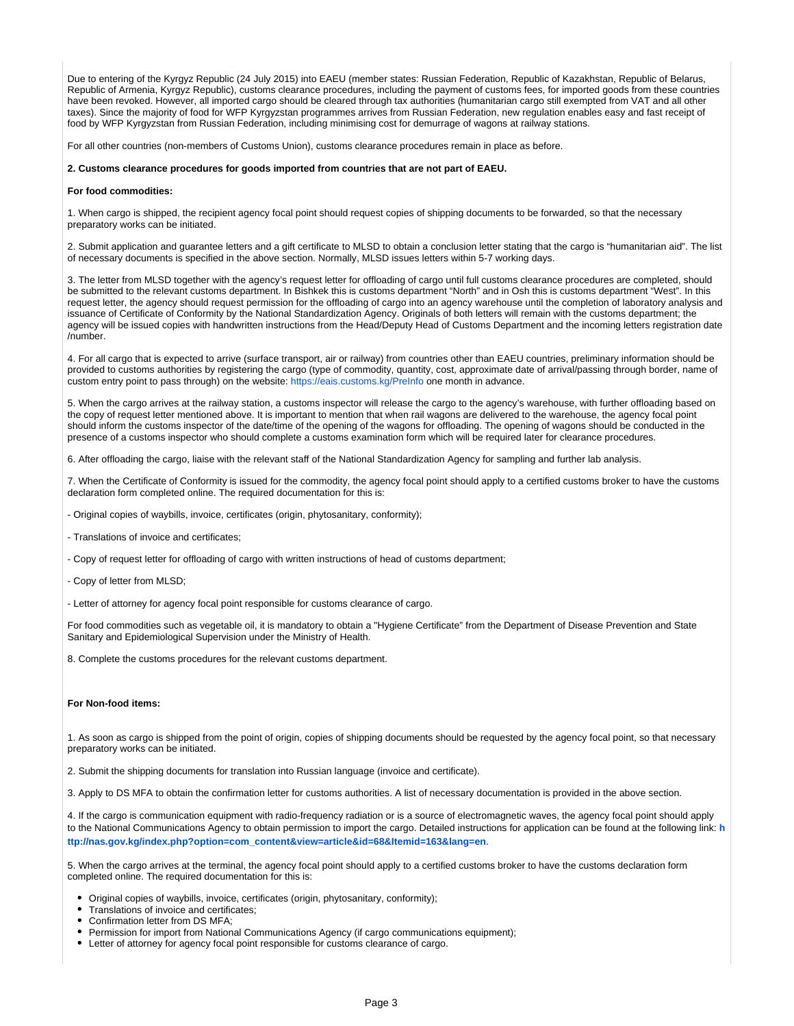Due to entering of the Kyrgyz Republic (24 July 2015) into EAEU (member states: Russian Federation, Republic of Kazakhstan, Republic of Belarus, Republic of Armenia, Kyrgyz Republic), customs clearance procedures, including the payment of customs fees, for imported goods from these countries have been revoked. However, all imported cargo should be cleared through tax authorities (humanitarian cargo still exempted from VAT and all other taxes). Since the majority of food for WFP Kyrgyzstan programmes arrives from Russian Federation, new regulation enables easy and fast receipt of food by WFP Kyrgyzstan from Russian Federation, including minimising cost for demurrage of wagons at railway stations.

For all other countries (non-members of Customs Union), customs clearance procedures remain in place as before.

#### **2. Customs clearance procedures for goods imported from countries that are not part of EAEU.**

#### **For food commodities:**

1. When cargo is shipped, the recipient agency focal point should request copies of shipping documents to be forwarded, so that the necessary preparatory works can be initiated.

2. Submit application and guarantee letters and a gift certificate to MLSD to obtain a conclusion letter stating that the cargo is "humanitarian aid". The list of necessary documents is specified in the above section. Normally, MLSD issues letters within 5-7 working days.

3. The letter from MLSD together with the agency's request letter for offloading of cargo until full customs clearance procedures are completed, should be submitted to the relevant customs department. In Bishkek this is customs department "North" and in Osh this is customs department "West". In this request letter, the agency should request permission for the offloading of cargo into an agency warehouse until the completion of laboratory analysis and issuance of Certificate of Conformity by the National Standardization Agency. Originals of both letters will remain with the customs department; the agency will be issued copies with handwritten instructions from the Head/Deputy Head of Customs Department and the incoming letters registration date /number.

4. For all cargo that is expected to arrive (surface transport, air or railway) from countries other than EAEU countries, preliminary information should be provided to customs authorities by registering the cargo (type of commodity, quantity, cost, approximate date of arrival/passing through border, name of custom entry point to pass through) on the website:<https://eais.customs.kg/PreInfo>one month in advance.

5. When the cargo arrives at the railway station, a customs inspector will release the cargo to the agency's warehouse, with further offloading based on the copy of request letter mentioned above. It is important to mention that when rail wagons are delivered to the warehouse, the agency focal point should inform the customs inspector of the date/time of the opening of the wagons for offloading. The opening of wagons should be conducted in the presence of a customs inspector who should complete a customs examination form which will be required later for clearance procedures.

6. After offloading the cargo, liaise with the relevant staff of the National Standardization Agency for sampling and further lab analysis.

7. When the Certificate of Conformity is issued for the commodity, the agency focal point should apply to a certified customs broker to have the customs declaration form completed online. The required documentation for this is:

- Original copies of waybills, invoice, certificates (origin, phytosanitary, conformity);

- Translations of invoice and certificates;
- Copy of request letter for offloading of cargo with written instructions of head of customs department;
- Copy of letter from MLSD;
- Letter of attorney for agency focal point responsible for customs clearance of cargo.

For food commodities such as vegetable oil, it is mandatory to obtain a "Hygiene Certificate" from the Department of Disease Prevention and State Sanitary and Epidemiological Supervision under the Ministry of Health.

8. Complete the customs procedures for the relevant customs department.

#### **For Non-food items:**

1. As soon as cargo is shipped from the point of origin, copies of shipping documents should be requested by the agency focal point, so that necessary preparatory works can be initiated.

2. Submit the shipping documents for translation into Russian language (invoice and certificate).

3. Apply to DS MFA to obtain the confirmation letter for customs authorities. A list of necessary documentation is provided in the above section.

4. If the cargo is communication equipment with radio-frequency radiation or is a source of electromagnetic waves, the agency focal point should apply to the National Communications Agency to obtain permission to import the cargo. Detailed instructions for application can be found at the following link: **[h](http://nas.gov.kg/index.php?option=com_content&view=article&id=68&Itemid=163&lang=en) [ttp://nas.gov.kg/index.php?option=com\\_content&view=article&id=68&Itemid=163&lang=en](http://nas.gov.kg/index.php?option=com_content&view=article&id=68&Itemid=163&lang=en)**.

5. When the cargo arrives at the terminal, the agency focal point should apply to a certified customs broker to have the customs declaration form completed online. The required documentation for this is:

- Original copies of waybills, invoice, certificates (origin, phytosanitary, conformity);
- Translations of invoice and certificates;
- Confirmation letter from DS MFA;
- Permission for import from National Communications Agency (if cargo communications equipment);
- Letter of attorney for agency focal point responsible for customs clearance of cargo.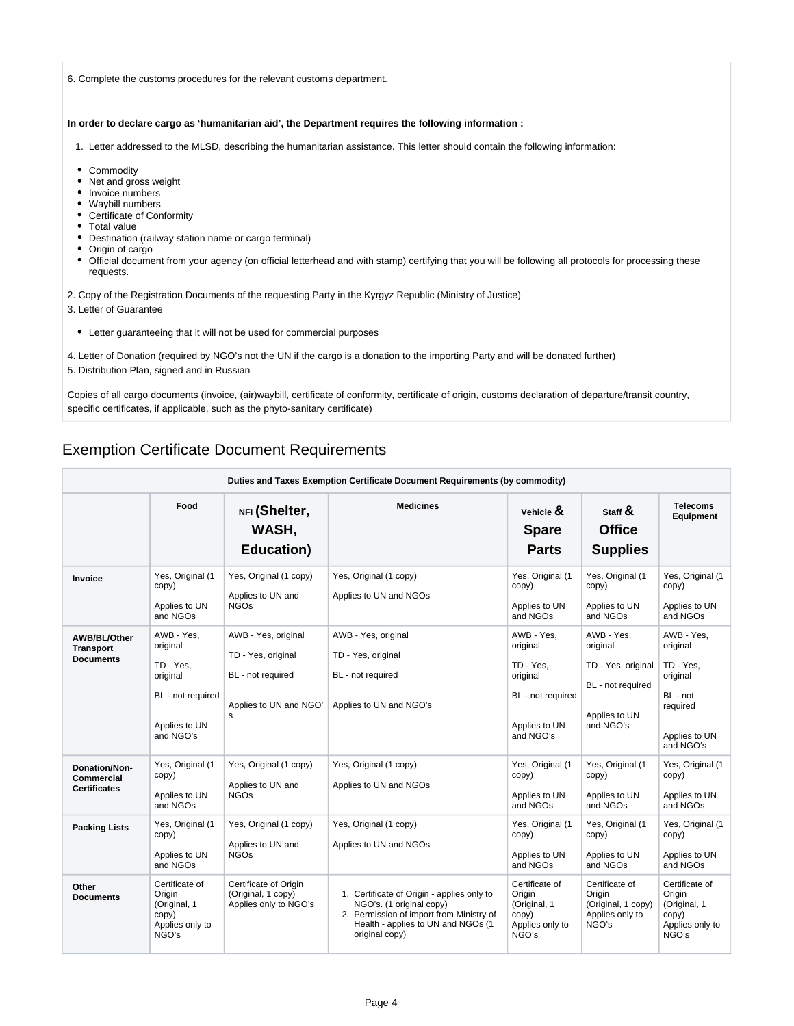6. Complete the customs procedures for the relevant customs department.

#### **In order to declare cargo as 'humanitarian aid', the Department requires the following information :**

- 1. Letter addressed to the MLSD, describing the humanitarian assistance. This letter should contain the following information:
- Commodity
- Net and gross weight
- Invoice numbers
- Waybill numbers
- Certificate of Conformity
- Total value
- Destination (railway station name or cargo terminal)
- Origin of cargo
- Official document from your agency (on official letterhead and with stamp) certifying that you will be following all protocols for processing these requests.
- 2. Copy of the Registration Documents of the requesting Party in the Kyrgyz Republic (Ministry of Justice)
- 3. Letter of Guarantee
	- Letter guaranteeing that it will not be used for commercial purposes
- 4. Letter of Donation (required by NGO's not the UN if the cargo is a donation to the importing Party and will be donated further)
- 5. Distribution Plan, signed and in Russian

Copies of all cargo documents (invoice, (air)waybill, certificate of conformity, certificate of origin, customs declaration of departure/transit country, specific certificates, if applicable, such as the phyto-sanitary certificate)

### <span id="page-3-0"></span>Exemption Certificate Document Requirements

| Duties and Taxes Exemption Certificate Document Requirements (by commodity) |                                                                                                    |                                                                                               |                                                                                                                                                                            |                                                                                                    |                                                                                                 |                                                                                                       |
|-----------------------------------------------------------------------------|----------------------------------------------------------------------------------------------------|-----------------------------------------------------------------------------------------------|----------------------------------------------------------------------------------------------------------------------------------------------------------------------------|----------------------------------------------------------------------------------------------------|-------------------------------------------------------------------------------------------------|-------------------------------------------------------------------------------------------------------|
|                                                                             | Food                                                                                               | NFI (Shelter,<br>WASH,<br><b>Education</b> )                                                  | <b>Medicines</b>                                                                                                                                                           | Vehicle $\mathbf{\&}$<br><b>Spare</b><br><b>Parts</b>                                              | Staff $\alpha$<br><b>Office</b><br><b>Supplies</b>                                              | <b>Telecoms</b><br><b>Equipment</b>                                                                   |
| Invoice                                                                     | Yes, Original (1<br>copy)<br>Applies to UN<br>and NGOs                                             | Yes, Original (1 copy)<br>Applies to UN and<br><b>NGOs</b>                                    | Yes, Original (1 copy)<br>Applies to UN and NGOs                                                                                                                           | Yes, Original (1<br>copy)<br>Applies to UN<br>and NGOs                                             | Yes, Original (1<br>copy)<br>Applies to UN<br>and NGOs                                          | Yes, Original (1<br>copy)<br>Applies to UN<br>and NGOs                                                |
| AWB/BL/Other<br><b>Transport</b><br><b>Documents</b>                        | AWB - Yes.<br>original<br>TD - Yes.<br>original<br>BL - not required<br>Applies to UN<br>and NGO's | AWB - Yes, original<br>TD - Yes, original<br>BL - not required<br>Applies to UN and NGO'<br>s | AWB - Yes, original<br>TD - Yes, original<br>BL - not required<br>Applies to UN and NGO's                                                                                  | AWB - Yes.<br>original<br>TD - Yes.<br>original<br>BL - not required<br>Applies to UN<br>and NGO's | AWB - Yes,<br>original<br>TD - Yes, original<br>BL - not required<br>Applies to UN<br>and NGO's | AWB - Yes,<br>original<br>TD - Yes.<br>original<br>BL - not<br>required<br>Applies to UN<br>and NGO's |
| Donation/Non-<br><b>Commercial</b><br><b>Certificates</b>                   | Yes, Original (1<br>copy)<br>Applies to UN<br>and NGOs                                             | Yes, Original (1 copy)<br>Applies to UN and<br><b>NGOs</b>                                    | Yes, Original (1 copy)<br>Applies to UN and NGOs                                                                                                                           | Yes, Original (1<br>copy)<br>Applies to UN<br>and NGOs                                             | Yes, Original (1<br>copy)<br>Applies to UN<br>and NGOs                                          | Yes, Original (1<br>copy)<br>Applies to UN<br>and NGOs                                                |
| <b>Packing Lists</b>                                                        | Yes, Original (1<br>copy)<br>Applies to UN<br>and NGOs                                             | Yes, Original (1 copy)<br>Applies to UN and<br><b>NGOs</b>                                    | Yes, Original (1 copy)<br>Applies to UN and NGOs                                                                                                                           | Yes, Original (1<br>copy)<br>Applies to UN<br>and NGOs                                             | Yes, Original (1<br>copy)<br>Applies to UN<br>and NGOs                                          | Yes, Original (1<br>copy)<br>Applies to UN<br>and NGOs                                                |
| Other<br><b>Documents</b>                                                   | Certificate of<br>Origin<br>(Original, 1<br>copy)<br>Applies only to<br>NGO's                      | Certificate of Origin<br>(Original, 1 copy)<br>Applies only to NGO's                          | 1. Certificate of Origin - applies only to<br>NGO's. (1 original copy)<br>2. Permission of import from Ministry of<br>Health - applies to UN and NGOs (1<br>original copy) | Certificate of<br>Origin<br>(Original, 1<br>copy)<br>Applies only to<br>NGO's                      | Certificate of<br>Origin<br>(Original, 1 copy)<br>Applies only to<br>NGO's                      | Certificate of<br>Origin<br>(Original, 1<br>copy)<br>Applies only to<br>NGO's                         |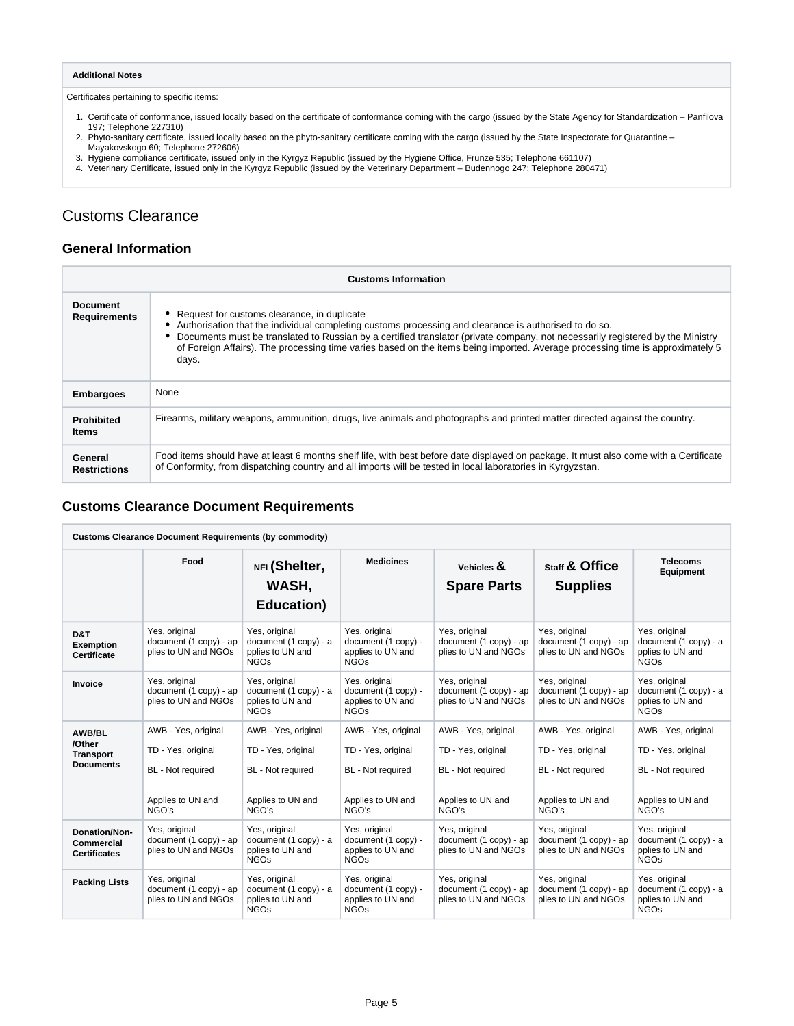#### **Additional Notes**

Certificates pertaining to specific items:

- 1. Certificate of conformance, issued locally based on the certificate of conformance coming with the cargo (issued by the State Agency for Standardization Panfilova 197; Telephone 227310)
- 2. Phyto-sanitary certificate, issued locally based on the phyto-sanitary certificate coming with the cargo (issued by the State Inspectorate for Quarantine –<br>Mayakovskogo 60; Telephone 272606)<br>Hygiene compliance certificate,
- 
- 3. 4.
- 

# <span id="page-4-0"></span>Customs Clearance

### <span id="page-4-1"></span>**General Information**

| <b>Customs Information</b>             |                                                                                                                                                                                                                                                                                                                                                                                                                                  |  |  |  |
|----------------------------------------|----------------------------------------------------------------------------------------------------------------------------------------------------------------------------------------------------------------------------------------------------------------------------------------------------------------------------------------------------------------------------------------------------------------------------------|--|--|--|
| <b>Document</b><br><b>Requirements</b> | Request for customs clearance, in duplicate<br>Authorisation that the individual completing customs processing and clearance is authorised to do so.<br>Documents must be translated to Russian by a certified translator (private company, not necessarily registered by the Ministry<br>of Foreign Affairs). The processing time varies based on the items being imported. Average processing time is approximately 5<br>days. |  |  |  |
| <b>Embargoes</b>                       | None                                                                                                                                                                                                                                                                                                                                                                                                                             |  |  |  |
| <b>Prohibited</b><br><b>Items</b>      | Firearms, military weapons, ammunition, drugs, live animals and photographs and printed matter directed against the country.                                                                                                                                                                                                                                                                                                     |  |  |  |
| General<br><b>Restrictions</b>         | Food items should have at least 6 months shelf life, with best before date displayed on package. It must also come with a Certificate<br>of Conformity, from dispatching country and all imports will be tested in local laboratories in Kyrgyzstan.                                                                                                                                                                             |  |  |  |

### <span id="page-4-2"></span>**Customs Clearance Document Requirements**

| <b>Customs Clearance Document Requirements (by commodity)</b>    |                                                                                              |                                                                                              |                                                                                              |                                                                                              |                                                                                              |                                                                                              |
|------------------------------------------------------------------|----------------------------------------------------------------------------------------------|----------------------------------------------------------------------------------------------|----------------------------------------------------------------------------------------------|----------------------------------------------------------------------------------------------|----------------------------------------------------------------------------------------------|----------------------------------------------------------------------------------------------|
|                                                                  | Food                                                                                         | NFI (Shelter,<br>WASH,<br>Education)                                                         | <b>Medicines</b>                                                                             | Vehicles $\mathbf{\&}$<br><b>Spare Parts</b>                                                 | Staff & Office<br><b>Supplies</b>                                                            | <b>Telecoms</b><br><b>Equipment</b>                                                          |
| D&T<br><b>Exemption</b><br><b>Certificate</b>                    | Yes, original<br>document (1 copy) - ap<br>plies to UN and NGOs                              | Yes, original<br>document (1 copy) - a<br>pplies to UN and<br><b>NGOs</b>                    | Yes, original<br>document (1 copy) -<br>applies to UN and<br><b>NGOs</b>                     | Yes, original<br>document (1 copy) - ap<br>plies to UN and NGOs                              | Yes, original<br>document (1 copy) - ap<br>plies to UN and NGOs                              | Yes, original<br>document (1 copy) - a<br>pplies to UN and<br><b>NGOs</b>                    |
| Invoice                                                          | Yes, original<br>document (1 copy) - ap<br>plies to UN and NGOs                              | Yes, original<br>document (1 copy) - a<br>pplies to UN and<br><b>NGOs</b>                    | Yes, original<br>document (1 copy) -<br>applies to UN and<br><b>NGOs</b>                     | Yes, original<br>document (1 copy) - ap<br>plies to UN and NGOs                              | Yes, original<br>document (1 copy) - ap<br>plies to UN and NGOs                              | Yes, original<br>document (1 copy) - a<br>pplies to UN and<br><b>NGOs</b>                    |
| <b>AWB/BL</b><br>/Other<br><b>Transport</b><br><b>Documents</b>  | AWB - Yes, original<br>TD - Yes, original<br>BL - Not required<br>Applies to UN and<br>NGO's | AWB - Yes, original<br>TD - Yes, original<br>BL - Not required<br>Applies to UN and<br>NGO's | AWB - Yes, original<br>TD - Yes, original<br>BL - Not required<br>Applies to UN and<br>NGO's | AWB - Yes, original<br>TD - Yes, original<br>BL - Not required<br>Applies to UN and<br>NGO's | AWB - Yes, original<br>TD - Yes, original<br>BL - Not required<br>Applies to UN and<br>NGO's | AWB - Yes, original<br>TD - Yes, original<br>BL - Not required<br>Applies to UN and<br>NGO's |
| <b>Donation/Non-</b><br><b>Commercial</b><br><b>Certificates</b> | Yes, original<br>document (1 copy) - ap<br>plies to UN and NGOs                              | Yes, original<br>document (1 copy) - a<br>pplies to UN and<br><b>NGOs</b>                    | Yes, original<br>document (1 copy) -<br>applies to UN and<br><b>NGOs</b>                     | Yes, original<br>document (1 copy) - ap<br>plies to UN and NGOs                              | Yes, original<br>document (1 copy) - ap<br>plies to UN and NGOs                              | Yes, original<br>document (1 copy) - a<br>pplies to UN and<br><b>NGOs</b>                    |
| <b>Packing Lists</b>                                             | Yes, original<br>document (1 copy) - ap<br>plies to UN and NGOs                              | Yes, original<br>document (1 copy) - a<br>pplies to UN and<br><b>NGOs</b>                    | Yes, original<br>document (1 copy) -<br>applies to UN and<br><b>NGOs</b>                     | Yes, original<br>document (1 copy) - ap<br>plies to UN and NGOs                              | Yes, original<br>document (1 copy) - ap<br>plies to UN and NGOs                              | Yes, original<br>document (1 copy) - a<br>pplies to UN and<br><b>NGOs</b>                    |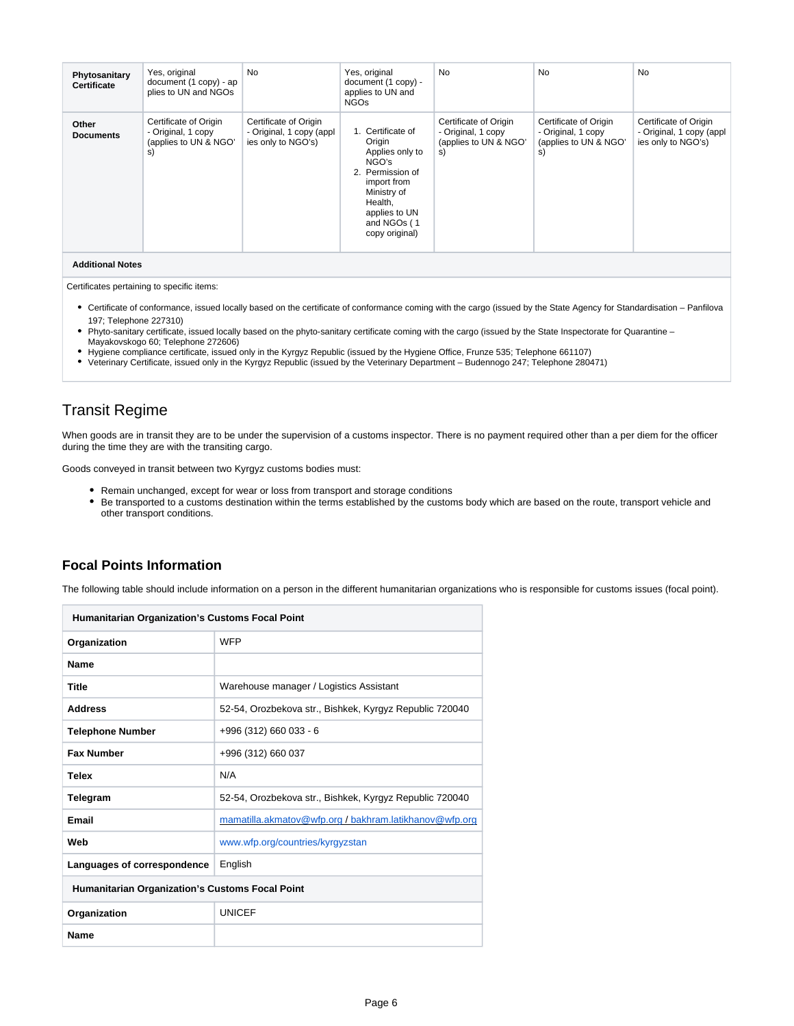| Phytosanitary<br><b>Certificate</b> | Yes, original<br>document (1 copy) - ap<br>plies to UN and NGOs            | <b>No</b>                                                               | Yes, original<br>document (1 copy) -<br>applies to UN and<br><b>NGOs</b>                                                                                               | <b>No</b>                                                                  | <b>No</b>                                                                  | <b>No</b>                                                               |
|-------------------------------------|----------------------------------------------------------------------------|-------------------------------------------------------------------------|------------------------------------------------------------------------------------------------------------------------------------------------------------------------|----------------------------------------------------------------------------|----------------------------------------------------------------------------|-------------------------------------------------------------------------|
| Other<br><b>Documents</b>           | Certificate of Origin<br>- Original, 1 copy<br>(applies to UN & NGO'<br>S) | Certificate of Origin<br>- Original, 1 copy (appl<br>ies only to NGO's) | 1. Certificate of<br>Origin<br>Applies only to<br>NGO's<br>2. Permission of<br>import from<br>Ministry of<br>Health,<br>applies to UN<br>and NGOs (1<br>copy original) | Certificate of Origin<br>- Original, 1 copy<br>(applies to UN & NGO'<br>s) | Certificate of Origin<br>- Original, 1 copy<br>(applies to UN & NGO'<br>s) | Certificate of Origin<br>- Original, 1 copy (appl<br>ies only to NGO's) |
| <b>Additional Notes</b>             |                                                                            |                                                                         |                                                                                                                                                                        |                                                                            |                                                                            |                                                                         |

Certificates pertaining to specific items:

- Certificate of conformance, issued locally based on the certificate of conformance coming with the cargo (issued by the State Agency for Standardisation Panfilova 197; Telephone 227310)
- Phyto-sanitary certificate, issued locally based on the phyto-sanitary certificate coming with the cargo (issued by the State Inspectorate for Quarantine Mayakovskogo 60; Telephone 272606)
- Hygiene compliance certificate, issued only in the Kyrgyz Republic (issued by the Hygiene Office, Frunze 535; Telephone 661107)
- Veterinary Certificate, issued only in the Kyrgyz Republic (issued by the Veterinary Department Budennogo 247; Telephone 280471)

# <span id="page-5-0"></span>Transit Regime

When goods are in transit they are to be under the supervision of a customs inspector. There is no payment required other than a per diem for the officer during the time they are with the transiting cargo.

Goods conveyed in transit between two Kyrgyz customs bodies must:

- Remain unchanged, except for wear or loss from transport and storage conditions
- Be transported to a customs destination within the terms established by the customs body which are based on the route, transport vehicle and other transport conditions.

### <span id="page-5-1"></span>**Focal Points Information**

The following table should include information on a person in the different humanitarian organizations who is responsible for customs issues (focal point).

| <b>Humanitarian Organization's Customs Focal Point</b> |                                                         |  |  |
|--------------------------------------------------------|---------------------------------------------------------|--|--|
| Organization                                           | <b>WFP</b>                                              |  |  |
| <b>Name</b>                                            |                                                         |  |  |
| <b>Title</b>                                           | Warehouse manager / Logistics Assistant                 |  |  |
| <b>Address</b>                                         | 52-54, Orozbekova str., Bishkek, Kyrgyz Republic 720040 |  |  |
| <b>Telephone Number</b>                                | +996 (312) 660 033 - 6                                  |  |  |
| <b>Fax Number</b>                                      | +996 (312) 660 037                                      |  |  |
| <b>Telex</b>                                           | N/A                                                     |  |  |
| Telegram                                               | 52-54, Orozbekova str., Bishkek, Kyrgyz Republic 720040 |  |  |
| Email                                                  | mamatilla.akmatov@wfp.org/bakhram.latikhanov@wfp.org    |  |  |
| Web                                                    | www.wfp.org/countries/kyrgyzstan                        |  |  |
| Languages of correspondence                            | English                                                 |  |  |
| <b>Humanitarian Organization's Customs Focal Point</b> |                                                         |  |  |
| Organization                                           | <b>UNICEF</b>                                           |  |  |
| Name                                                   |                                                         |  |  |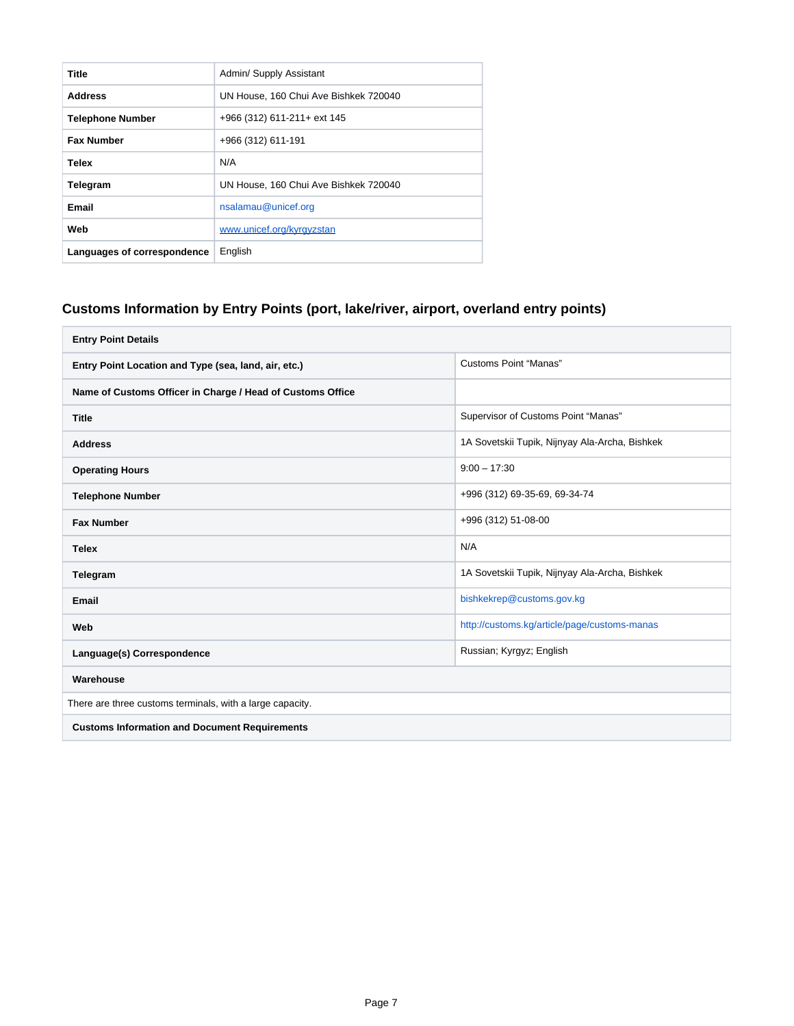| Title                       | Admin/ Supply Assistant               |
|-----------------------------|---------------------------------------|
| <b>Address</b>              | UN House, 160 Chui Ave Bishkek 720040 |
| <b>Telephone Number</b>     | +966 (312) 611-211+ ext 145           |
| <b>Fax Number</b>           | +966 (312) 611-191                    |
| Telex                       | N/A                                   |
| Telegram                    | UN House, 160 Chui Ave Bishkek 720040 |
| Email                       | nsalamau@unicef.org                   |
| Web                         | www.unicef.org/kyrgyzstan             |
| Languages of correspondence | English                               |

# <span id="page-6-0"></span>**Customs Information by Entry Points (port, lake/river, airport, overland entry points)**

| <b>Entry Point Details</b>                                 |                                                |  |  |
|------------------------------------------------------------|------------------------------------------------|--|--|
| Entry Point Location and Type (sea, land, air, etc.)       | <b>Customs Point "Manas"</b>                   |  |  |
| Name of Customs Officer in Charge / Head of Customs Office |                                                |  |  |
| <b>Title</b>                                               | Supervisor of Customs Point "Manas"            |  |  |
| <b>Address</b>                                             | 1A Sovetskii Tupik, Nijnyay Ala-Archa, Bishkek |  |  |
| <b>Operating Hours</b>                                     | $9:00 - 17:30$                                 |  |  |
| <b>Telephone Number</b>                                    | +996 (312) 69-35-69, 69-34-74                  |  |  |
| <b>Fax Number</b>                                          | +996 (312) 51-08-00                            |  |  |
| <b>Telex</b>                                               | N/A                                            |  |  |
| Telegram                                                   | 1A Sovetskii Tupik, Nijnyay Ala-Archa, Bishkek |  |  |
| Email                                                      | bishkekrep@customs.gov.kg                      |  |  |
| Web                                                        | http://customs.kg/article/page/customs-manas   |  |  |
| Language(s) Correspondence                                 | Russian; Kyrgyz; English                       |  |  |
| Warehouse                                                  |                                                |  |  |
| There are three customs terminals, with a large capacity.  |                                                |  |  |
| <b>Customs Information and Document Requirements</b>       |                                                |  |  |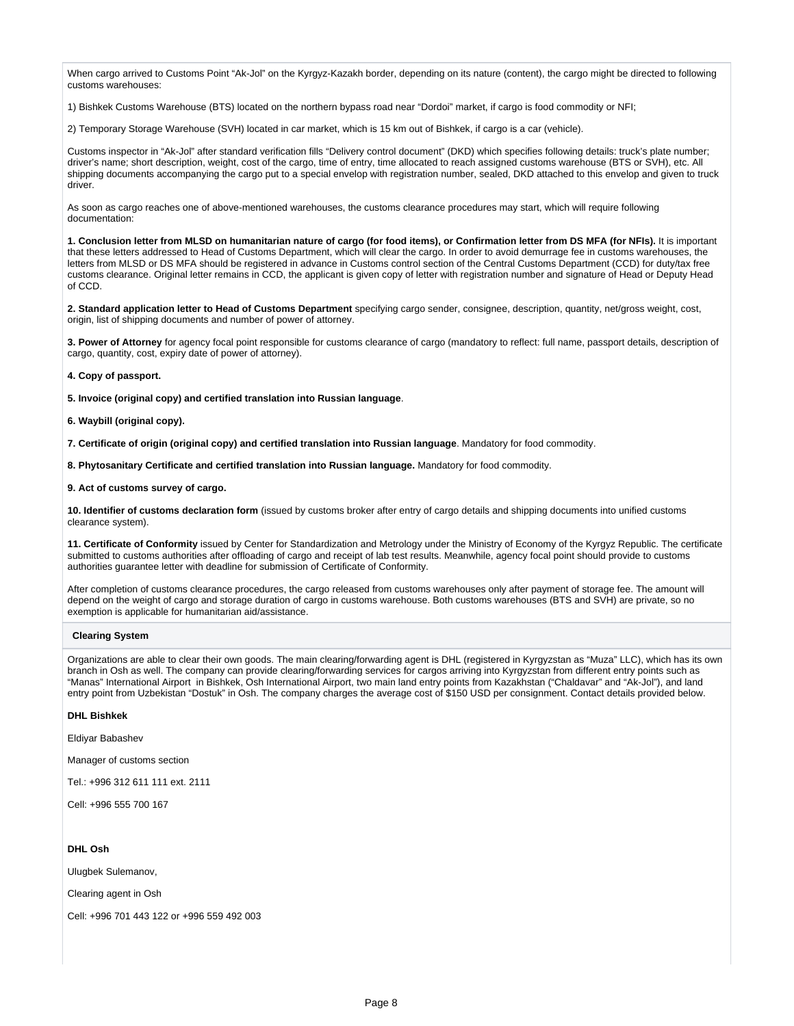When cargo arrived to Customs Point "Ak-Jol" on the Kyrgyz-Kazakh border, depending on its nature (content), the cargo might be directed to following customs warehouses:

1) Bishkek Customs Warehouse (BTS) located on the northern bypass road near "Dordoi" market, if cargo is food commodity or NFI;

2) Temporary Storage Warehouse (SVH) located in car market, which is 15 km out of Bishkek, if cargo is a car (vehicle).

Customs inspector in "Ak-Jol" after standard verification fills "Delivery control document" (DKD) which specifies following details: truck's plate number; driver's name; short description, weight, cost of the cargo, time of entry, time allocated to reach assigned customs warehouse (BTS or SVH), etc. All shipping documents accompanying the cargo put to a special envelop with registration number, sealed, DKD attached to this envelop and given to truck driver.

As soon as cargo reaches one of above-mentioned warehouses, the customs clearance procedures may start, which will require following documentation:

**1. Conclusion letter from MLSD on humanitarian nature of cargo (for food items), or Confirmation letter from DS MFA (for NFIs).** It is important that these letters addressed to Head of Customs Department, which will clear the cargo. In order to avoid demurrage fee in customs warehouses, the letters from MLSD or DS MFA should be registered in advance in Customs control section of the Central Customs Department (CCD) for duty/tax free customs clearance. Original letter remains in CCD, the applicant is given copy of letter with registration number and signature of Head or Deputy Head of CCD.

**2. Standard application letter to Head of Customs Department** specifying cargo sender, consignee, description, quantity, net/gross weight, cost, origin, list of shipping documents and number of power of attorney.

**3. Power of Attorney** for agency focal point responsible for customs clearance of cargo (mandatory to reflect: full name, passport details, description of cargo, quantity, cost, expiry date of power of attorney).

**4. Copy of passport.**

**5. Invoice (original copy) and certified translation into Russian language**.

**6. Waybill (original copy).**

**7. Certificate of origin (original copy) and certified translation into Russian language**. Mandatory for food commodity.

**8. Phytosanitary Certificate and certified translation into Russian language.** Mandatory for food commodity.

**9. Act of customs survey of cargo.**

**10. Identifier of customs declaration form** (issued by customs broker after entry of cargo details and shipping documents into unified customs clearance system).

**11. Certificate of Conformity** issued by Center for Standardization and Metrology under the Ministry of Economy of the Kyrgyz Republic. The certificate submitted to customs authorities after offloading of cargo and receipt of lab test results. Meanwhile, agency focal point should provide to customs authorities guarantee letter with deadline for submission of Certificate of Conformity.

After completion of customs clearance procedures, the cargo released from customs warehouses only after payment of storage fee. The amount will depend on the weight of cargo and storage duration of cargo in customs warehouse. Both customs warehouses (BTS and SVH) are private, so no exemption is applicable for humanitarian aid/assistance.

#### **Clearing System**

Organizations are able to clear their own goods. The main clearing/forwarding agent is DHL (registered in Kyrgyzstan as "Muza" LLC), which has its own branch in Osh as well. The company can provide clearing/forwarding services for cargos arriving into Kyrgyzstan from different entry points such as "Manas" International Airport in Bishkek, Osh International Airport, two main land entry points from Kazakhstan ("Chaldavar" and "Ak-Jol"), and land entry point from Uzbekistan "Dostuk" in Osh. The company charges the average cost of \$150 USD per consignment. Contact details provided below.

#### **DHL Bishkek**

Eldiyar Babashev

Manager of customs section

Tel.: +996 312 611 111 ext. 2111

Cell: +996 555 700 167

#### **DHL Osh**

Ulugbek Sulemanov,

Clearing agent in Osh

Cell: +996 701 443 122 or +996 559 492 003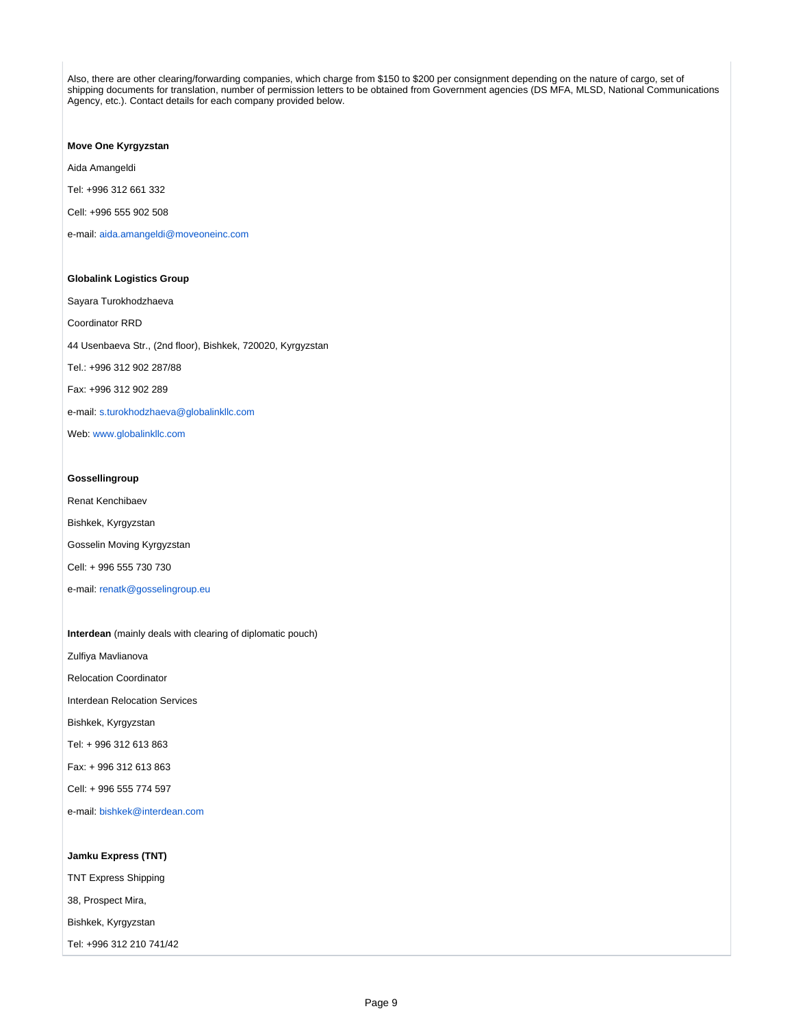Also, there are other clearing/forwarding companies, which charge from \$150 to \$200 per consignment depending on the nature of cargo, set of shipping documents for translation, number of permission letters to be obtained from Government agencies (DS MFA, MLSD, National Communications Agency, etc.). Contact details for each company provided below.

**Move One Kyrgyzstan**

Aida Amangeldi

Tel: +996 312 661 332

Cell: +996 555 902 508

e-mail: [aida.amangeldi@moveoneinc.com](mailto:aida.amangeldi@moveoneinc.com)

**Globalink Logistics Group** Sayara Turokhodzhaeva Coordinator RRD 44 Usenbaeva Str., (2nd floor), Bishkek, 720020, Kyrgyzstan Tel.: +996 312 902 287/88 Fax: +996 312 902 289 e-mail: [s.turokhodzhaeva@globalinkllc.com](mailto:s.turokhodzhaeva@globalinkllc.com) Web: [www.globalinkllc.com](http://www.globalinkllc.com/)

#### **Gossellingroup**

Renat Kenchibaev Bishkek, Kyrgyzstan Gosselin Moving Kyrgyzstan Cell: + 996 555 730 730 e-mail: [renatk@gosselingroup.eu](mailto:renatk@gosselingroup.eu)

**Interdean** (mainly deals with clearing of diplomatic pouch) Zulfiya Mavlianova Relocation Coordinator Interdean Relocation Services Bishkek, Kyrgyzstan Tel: + 996 312 613 863 Fax: + 996 312 613 863 Cell: + 996 555 774 597 e-mail: [bishkek@interdean.com](mailto:bishkek@interdean.com)

**Jamku Express (TNT)** TNT Express Shipping 38, Prospect Mira,

Bishkek, Kyrgyzstan

Tel: +996 312 210 741/42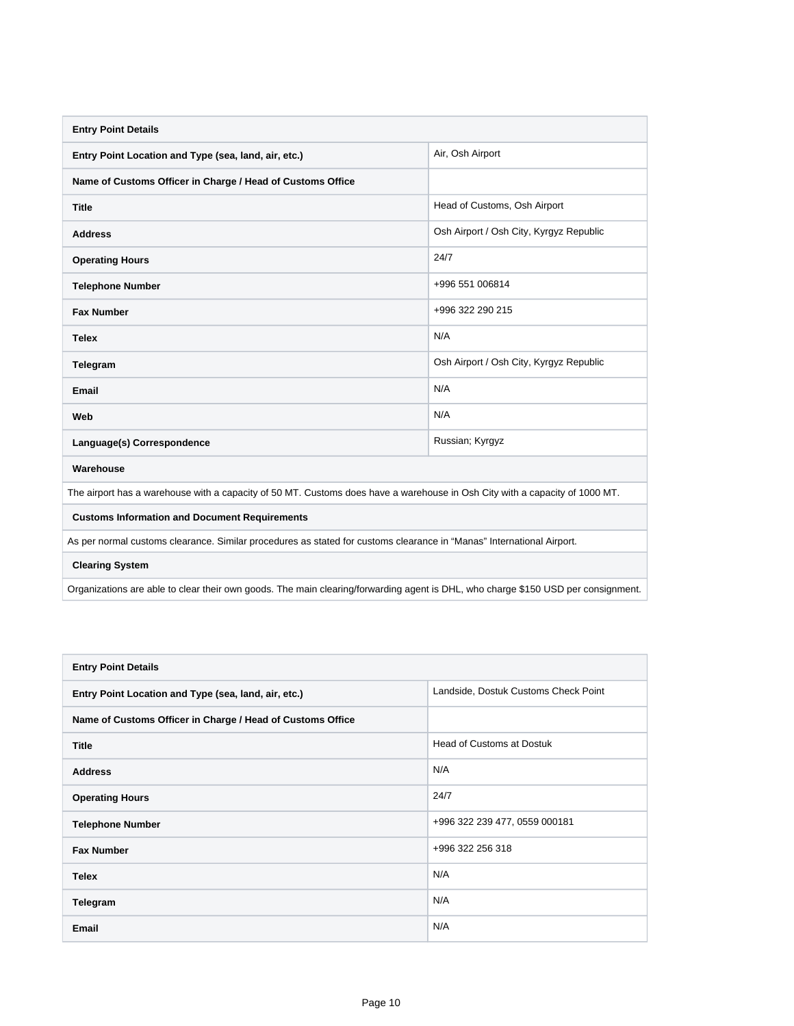| <b>Entry Point Details</b>                                                                                                        |                                         |  |  |  |
|-----------------------------------------------------------------------------------------------------------------------------------|-----------------------------------------|--|--|--|
| Entry Point Location and Type (sea, land, air, etc.)                                                                              | Air, Osh Airport                        |  |  |  |
| Name of Customs Officer in Charge / Head of Customs Office                                                                        |                                         |  |  |  |
| <b>Title</b>                                                                                                                      | Head of Customs, Osh Airport            |  |  |  |
| <b>Address</b>                                                                                                                    | Osh Airport / Osh City, Kyrgyz Republic |  |  |  |
| <b>Operating Hours</b>                                                                                                            | 24/7                                    |  |  |  |
| <b>Telephone Number</b>                                                                                                           | +996 551 006814                         |  |  |  |
| <b>Fax Number</b>                                                                                                                 | +996 322 290 215                        |  |  |  |
| <b>Telex</b>                                                                                                                      | N/A                                     |  |  |  |
| Telegram                                                                                                                          | Osh Airport / Osh City, Kyrgyz Republic |  |  |  |
| Email                                                                                                                             | N/A                                     |  |  |  |
| Web                                                                                                                               | N/A                                     |  |  |  |
| Language(s) Correspondence                                                                                                        | Russian; Kyrgyz                         |  |  |  |
| Warehouse                                                                                                                         |                                         |  |  |  |
| The airport has a warehouse with a capacity of 50 MT. Customs does have a warehouse in Osh City with a capacity of 1000 MT.       |                                         |  |  |  |
| <b>Customs Information and Document Requirements</b>                                                                              |                                         |  |  |  |
| As per normal customs clearance. Similar procedures as stated for customs clearance in "Manas" International Airport.             |                                         |  |  |  |
| <b>Clearing System</b>                                                                                                            |                                         |  |  |  |
| Organizations are able to clear their own goods. The main clearing/forwarding agent is DHL, who charge \$150 USD per consignment. |                                         |  |  |  |

| <b>Entry Point Details</b>                                 |                                      |
|------------------------------------------------------------|--------------------------------------|
| Entry Point Location and Type (sea, land, air, etc.)       | Landside, Dostuk Customs Check Point |
| Name of Customs Officer in Charge / Head of Customs Office |                                      |
| <b>Title</b>                                               | Head of Customs at Dostuk            |
| <b>Address</b>                                             | N/A                                  |
| <b>Operating Hours</b>                                     | 24/7                                 |
| <b>Telephone Number</b>                                    | +996 322 239 477, 0559 000181        |
| <b>Fax Number</b>                                          | +996 322 256 318                     |
| <b>Telex</b>                                               | N/A                                  |
| Telegram                                                   | N/A                                  |
| <b>Email</b>                                               | N/A                                  |